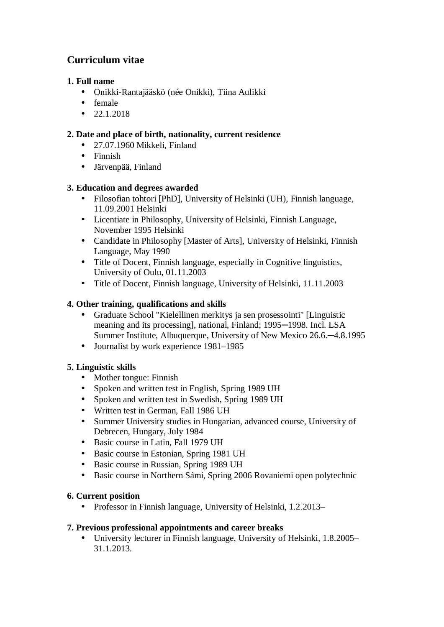# **Curriculum vitae**

## **1. Full name**

- Onikki-Rantajääskö (née Onikki), Tiina Aulikki
- $\mathbf{r}$ female
- 22.1.2018  $\mathcal{L}^{\text{max}}$

## **2. Date and place of birth, nationality, current residence**

- 27.07.1960 Mikkeli, Finland
- Finnish  $\mathbf{r}$
- Järvenpää, Finland

## **3. Education and degrees awarded**

- Filosofian tohtori [PhD], University of Helsinki (UH), Finnish language, 11.09.2001 Helsinki
- $\mathbf{r}^{\mathrm{max}}$ Licentiate in Philosophy, University of Helsinki, Finnish Language, November 1995 Helsinki
- $\mathbf{r}^{(1)}$ Candidate in Philosophy [Master of Arts], University of Helsinki, Finnish Language, May 1990
- $\mathbf{r}^{\mathrm{max}}$ Title of Docent, Finnish language, especially in Cognitive linguistics, University of Oulu, 01.11.2003
- Title of Docent, Finnish language, University of Helsinki, 11.11.2003

## **4. Other training, qualifications and skills**

- Graduate School "Kielellinen merkitys ja sen prosessointi" [Linguistic meaning and its processing], national, Finland; 1995─1998. Incl. LSA Summer Institute, Albuquerque, University of New Mexico 26.6.─4.8.1995
- Journalist by work experience 1981–1985  $\mathcal{L}^{\pm}$

# **5. Linguistic skills**

- Mother tongue: Finnish  $\mathbf{r}$
- Spoken and written test in English, Spring 1989 UH  $\mathcal{L}^{\text{max}}$
- Spoken and written test in Swedish, Spring 1989 UH
- Written test in German, Fall 1986 UH
- Summer University studies in Hungarian, advanced course, University of  $\mathbf{r}$ Debrecen, Hungary, July 1984
- Basic course in Latin, Fall 1979 UH
- Basic course in Estonian, Spring 1981 UH
- Basic course in Russian, Spring 1989 UH
- Basic course in Northern Sámi, Spring 2006 Rovaniemi open polytechnic  $\mathcal{L}^{\text{max}}$

## **6. Current position**

Professor in Finnish language, University of Helsinki, 1.2.2013–

## **7. Previous professional appointments and career breaks**

University lecturer in Finnish language, University of Helsinki, 1.8.2005– 31.1.2013.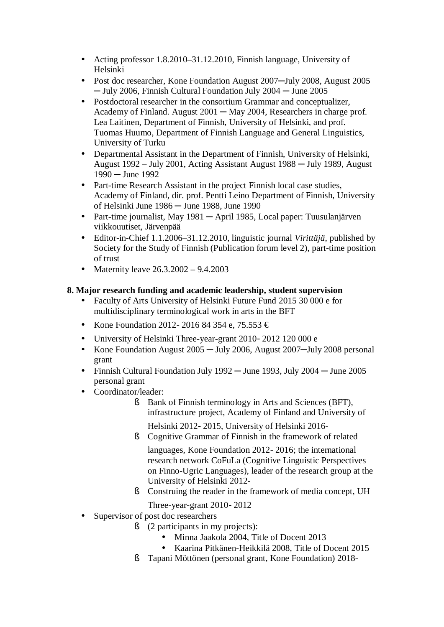- Acting professor 1.8.2010–31.12.2010, Finnish language, University of  $\mathbf{r}$ Helsinki
- Post doc researcher, Kone Foundation August 2007─July 2008, August 2005  $\mathbf{r}$ ─ July 2006, Finnish Cultural Foundation July 2004 ─ June 2005
- Postdoctoral researcher in the consortium Grammar and conceptualizer,  $\mathbf{r}$ Academy of Finland. August 2001 ─ May 2004, Researchers in charge prof. Lea Laitinen, Department of Finnish, University of Helsinki, and prof. Tuomas Huumo, Department of Finnish Language and General Linguistics, University of Turku
- Departmental Assistant in the Department of Finnish, University of Helsinki, August 1992 – July 2001, Acting Assistant August 1988 ─ July 1989, August 1990 ─ June 1992
- Part-time Research Assistant in the project Finnish local case studies,  $\mathbf{r}$ Academy of Finland, dir. prof. Pentti Leino Department of Finnish, University of Helsinki June 1986 ─ June 1988, June 1990
- Part-time journalist, May 1981 ─ April 1985, Local paper: Tuusulanjärven viikkouutiset, Järvenpää
- Editor-in-Chief 1.1.2006–31.12.2010, linguistic journal *Virittäjä*, published by  $\mathbf{r}^{(1)}$ Society for the Study of Finnish (Publication forum level 2), part-time position of trust
- Maternity leave 26.3.2002 9.4.2003  $\mathbf{r}$

## **8. Major research funding and academic leadership, student supervision**

- Faculty of Arts University of Helsinki Future Fund 2015 30 000 e for multidisciplinary terminological work in arts in the BFT
- Kone Foundation 2012-2016 84 354 e, 75.553 €
- University of Helsinki Three-year-grant 2010-2012 120 000 e
- Kone Foundation August 2005 ─ July 2006, August 2007─July 2008 personal grant
- $\mathbf{r}^{(1)}$ Finnish Cultural Foundation July 1992 ─ June 1993, July 2004 ─ June 2005 personal grant
- Coordinator/leader:
	- § Bank of Finnish terminology in Arts and Sciences (BFT), infrastructure project, Academy of Finland and University of

Helsinki 2012-2015, University of Helsinki 2016-

§ Cognitive Grammar of Finnish in the framework of related

languages, Kone Foundation 2012-2016; the international research network CoFuLa (Cognitive Linguistic Perspectives on Finno-Ugric Languages), leader of the research group at the University of Helsinki 2012-

§ Construing the reader in the framework of media concept, UH

Three-year-grant 2010-2012

- Supervisor of post doc researchers
	- § (2 participants in my projects):
		- Minna Jaakola 2004, Title of Docent 2013
		- Kaarina Pitkänen-Heikkilä 2008, Title of Docent 2015
	- § Tapani Möttönen (personal grant, Kone Foundation) 2018-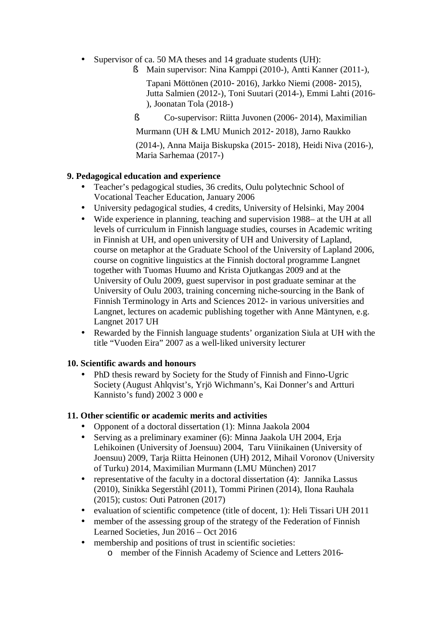Supervisor of ca. 50 MA theses and 14 graduate students (UH):

§ Main supervisor: Nina Kamppi (2010-), Antti Kanner (2011-),

Tapani Möttönen (2010-2016), Jarkko Niemi (2008-2015), Jutta Salmien (2012-), Toni Suutari (2014-), Emmi Lahti (2016- ), Joonatan Tola (2018-)

§ Co-supervisor: Riitta Juvonen (2006-2014), Maximilian

Murmann (UH & LMU Munich 2012-2018), Jarno Raukko

(2014-), Anna Maija Biskupska (2015-2018), Heidi Niva (2016-), Maria Sarhemaa (2017-)

## **9. Pedagogical education and experience**

- Teacher's pedagogical studies, 36 credits, Oulu polytechnic School of Vocational Teacher Education, January 2006
- University pedagogical studies, 4 credits, University of Helsinki, May 2004
- Wide experience in planning, teaching and supervision 1988– at the UH at all  $\mathbf{r}$ levels of curriculum in Finnish language studies, courses in Academic writing in Finnish at UH, and open university of UH and University of Lapland, course on metaphor at the Graduate School of the University of Lapland 2006, course on cognitive linguistics at the Finnish doctoral programme Langnet together with Tuomas Huumo and Krista Ojutkangas 2009 and at the University of Oulu 2009, guest supervisor in post graduate seminar at the University of Oulu 2003, training concerning niche-sourcing in the Bank of Finnish Terminology in Arts and Sciences 2012- in various universities and Langnet, lectures on academic publishing together with Anne Mäntynen, e.g. Langnet 2017 UH
- Rewarded by the Finnish language students' organization Siula at UH with the title "Vuoden Eira" 2007 as a well-liked university lecturer

## **10. Scientific awards and honours**

PhD thesis reward by Society for the Study of Finnish and Finno-Ugric Society (August Ahlqvist's, Yrjö Wichmann's, Kai Donner's and Artturi Kannisto's fund) 2002 3 000 e

## **11. Other scientific or academic merits and activities**

- Opponent of a doctoral dissertation (1): Minna Jaakola 2004
- Serving as a preliminary examiner (6): Minna Jaakola UH 2004, Erja  $\mathbf{r}$ Lehikoinen (University of Joensuu) 2004, Taru Viinikainen (University of Joensuu) 2009, Tarja Riitta Heinonen (UH) 2012, Mihail Voronov (University of Turku) 2014, Maximilian Murmann (LMU München) 2017
- $\hat{\mathbf{r}}$ representative of the faculty in a doctoral dissertation (4): Jannika Lassus (2010), Sinikka Segerståhl (2011), Tommi Pirinen (2014), Ilona Rauhala (2015); custos: Outi Patronen (2017)
- evaluation of scientific competence (title of docent, 1): Heli Tissari UH 2011
- member of the assessing group of the strategy of the Federation of Finnish Learned Societies, Jun 2016 – Oct 2016
- membership and positions of trust in scientific societies:
	- o member of the Finnish Academy of Science and Letters 2016-